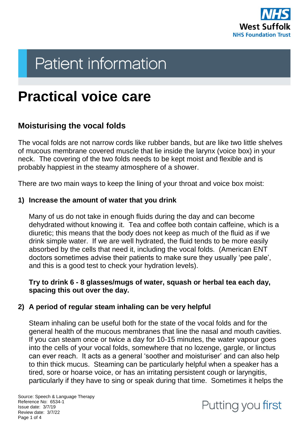

# **Patient information**

# **Practical voice care**

# **Moisturising the vocal folds**

The vocal folds are not narrow cords like rubber bands, but are like two little shelves of mucous membrane covered muscle that lie inside the larynx (voice box) in your neck. The covering of the two folds needs to be kept moist and flexible and is probably happiest in the steamy atmosphere of a shower.

There are two main ways to keep the lining of your throat and voice box moist:

#### **1) Increase the amount of water that you drink**

Many of us do not take in enough fluids during the day and can become dehydrated without knowing it. Tea and coffee both contain caffeine, which is a diuretic; this means that the body does not keep as much of the fluid as if we drink simple water. If we are well hydrated, the fluid tends to be more easily absorbed by the cells that need it, including the vocal folds. (American ENT doctors sometimes advise their patients to make sure they usually 'pee pale', and this is a good test to check your hydration levels).

#### **Try to drink 6 - 8 glasses/mugs of water, squash or herbal tea each day, spacing this out over the day.**

#### **2) A period of regular steam inhaling can be very helpful**

Steam inhaling can be useful both for the state of the vocal folds and for the general health of the mucous membranes that line the nasal and mouth cavities. If you can steam once or twice a day for 10-15 minutes, the water vapour goes into the cells of your vocal folds, somewhere that no lozenge, gargle, or linctus can ever reach. It acts as a general 'soother and moisturiser' and can also help to thin thick mucus. Steaming can be particularly helpful when a speaker has a tired, sore or hoarse voice, or has an irritating persistent cough or laryngitis, particularly if they have to sing or speak during that time. Sometimes it helps the

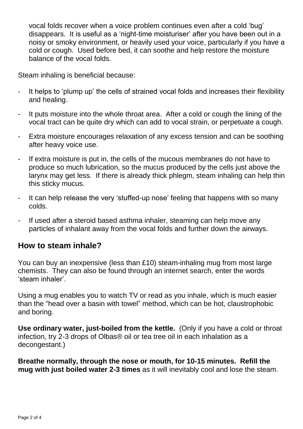vocal folds recover when a voice problem continues even after a cold 'bug' disappears. It is useful as a 'night-time moisturiser' after you have been out in a noisy or smoky environment, or heavily used your voice, particularly if you have a cold or cough. Used before bed, it can soothe and help restore the moisture balance of the vocal folds.

Steam inhaling is beneficial because:

- It helps to 'plump up' the cells of strained vocal folds and increases their flexibility and healing.
- It puts moisture into the whole throat area. After a cold or cough the lining of the vocal tract can be quite dry which can add to vocal strain, or perpetuate a cough.
- Extra moisture encourages relaxation of any excess tension and can be soothing after heavy voice use.
- If extra moisture is put in, the cells of the mucous membranes do not have to produce so much lubrication, so the mucus produced by the cells just above the larynx may get less. If there is already thick phlegm, steam inhaling can help thin this sticky mucus.
- It can help release the very 'stuffed-up nose' feeling that happens with so many colds.
- If used after a steroid based asthma inhaler, steaming can help move any particles of inhalant away from the vocal folds and further down the airways.

#### **How to steam inhale?**

You can buy an inexpensive (less than £10) steam-inhaling mug from most large chemists. They can also be found through an internet search, enter the words 'steam inhaler'.

Using a mug enables you to watch TV or read as you inhale, which is much easier than the "head over a basin with towel" method, which can be hot, claustrophobic and boring.

**Use ordinary water, just-boiled from the kettle.** (Only if you have a cold or throat infection, try 2-3 drops of Olbas® oil or tea tree oil in each inhalation as a decongestant.)

**Breathe normally, through the nose or mouth, for 10-15 minutes. Refill the mug with just boiled water 2-3 times** as it will inevitably cool and lose the steam.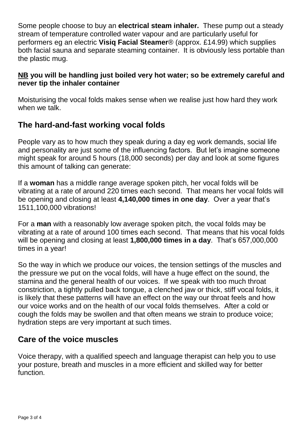Some people choose to buy an **electrical steam inhaler.** These pump out a steady stream of temperature controlled water vapour and are particularly useful for performers eg an electric **Visiq Facial Steamer**® (approx. £14.99) which supplies both facial sauna and separate steaming container. It is obviously less portable than the plastic mug.

#### **NB you will be handling just boiled very hot water; so be extremely careful and never tip the inhaler container**

Moisturising the vocal folds makes sense when we realise just how hard they work when we talk.

## **The hard-and-fast working vocal folds**

People vary as to how much they speak during a day eg work demands, social life and personality are just some of the influencing factors. But let's imagine someone might speak for around 5 hours (18,000 seconds) per day and look at some figures this amount of talking can generate:

If a **woman** has a middle range average spoken pitch, her vocal folds will be vibrating at a rate of around 220 times each second. That means her vocal folds will be opening and closing at least **4,140,000 times in one day**. Over a year that's 1511,100,000 vibrations!

For a **man** with a reasonably low average spoken pitch, the vocal folds may be vibrating at a rate of around 100 times each second. That means that his vocal folds will be opening and closing at least **1,800,000 times in a day**. That's 657,000,000 times in a year!

So the way in which we produce our voices, the tension settings of the muscles and the pressure we put on the vocal folds, will have a huge effect on the sound, the stamina and the general health of our voices. If we speak with too much throat constriction, a tightly pulled back tongue, a clenched jaw or thick, stiff vocal folds, it is likely that these patterns will have an effect on the way our throat feels and how our voice works and on the health of our vocal folds themselves. After a cold or cough the folds may be swollen and that often means we strain to produce voice; hydration steps are very important at such times.

### **Care of the voice muscles**

Voice therapy, with a qualified speech and language therapist can help you to use your posture, breath and muscles in a more efficient and skilled way for better function.